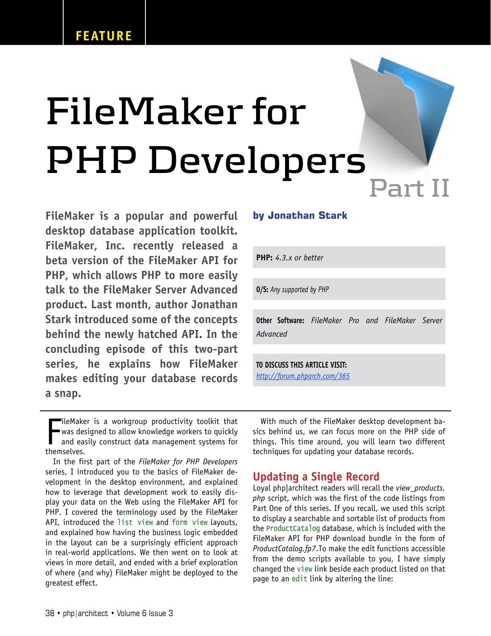# **FileMaker for PHP Developers**

FileMaker is a popular and powerful desktop database application toolkit. FileMaker, Inc. recently released a beta version of the FileMaker API for PHP, which allows PHP to more easily talk to the FileMaker Server Advanced product. Last month, author Jonathan Stark introduced some of the concepts behind the newly hatched API. In the concluding episode of this two-part series, he explains how FileMaker makes editing your database records a snap.

## **by Jonathan Stark**

**PHP:** *4.3.x or better*

**O/S:** *Any supported by PHP*

**Other Software:** *FileMaker Pro and FileMaker Server Advanced*

**TO DISCUSS THIS ARTICLE VISIT:** *http://forum.phparch.com/365*

The Make<br>
was de:<br>
and ea<br>
themselves.  $\blacksquare$ ileMaker is a workgroup productivity toolkit that was designed to allow knowledge workers to quickly and easily construct data management systems for

In the first part of the FileMaker for PHP Developers series, I introduced you to the basics of FileMaker development in the desktop environment, and explained how to leverage that development work to easily display your data on the Web using the FileMaker API for PHP. I covered the terminology used by the FileMaker API, introduced the list view and form view layouts, and explained how having the business logic embedded in the layout can be a surprisingly efficient approach in real-world applications. We then went on to look at views in more detail, and ended with a brief exploration of where (and why) FileMaker might be deployed to the greatest effect.

With much of the FileMaker desktop development basics behind us, we can focus more on the PHP side of things. This time around, you will learn two different techniques for updating your database records.

# Updating a Single Record

Loyal php|architect readers will recall the view\_products. php script, which was the first of the code listings from Part One of this series. If you recall, we used this script to display a searchable and sortable list of products from the ProductCatalog database, which is included with the FileMaker API for PHP download bundle in the form of ProductCatalog.fp7.To make the edit functions accessible from the demo scripts available to you, I have simply changed the view link beside each product listed on that page to an edit link by altering the line: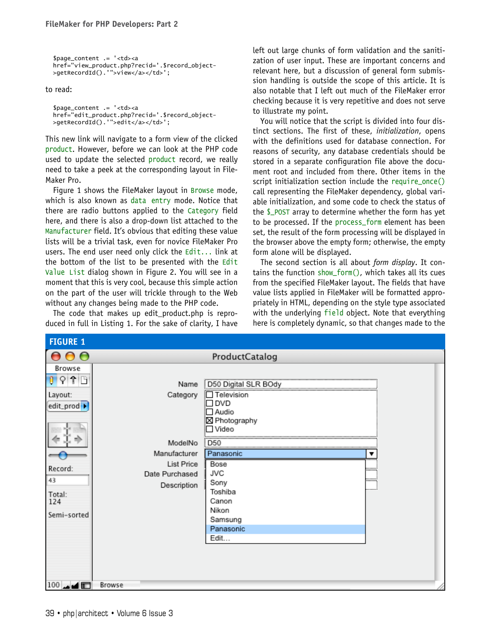\$page\_content .= '<td><a href="view\_product.php?recid='.\$record\_object- >getRecordId().'">view</a></td>';

to read:

```
$page_content .= '<td><a
href="edit_product.php?recid='.$record_object-
>getRecordId().'">edit</a></td>';
```
This new link will navigate to a form view of the clicked product. However, before we can look at the PHP code used to update the selected product record, we really need to take a peek at the corresponding layout in File-Maker Pro.

Figure 1 shows the FileMaker layout in Browse mode, which is also known as data entry mode. Notice that there are radio buttons applied to the Category field here, and there is also a drop-down list attached to the Manufacturer field. It's obvious that editing these value lists will be a trivial task, even for novice FileMaker Pro users. The end user need only click the  $Edit...$  link at the bottom of the list to be presented with the Edit Value List dialog shown in Figure 2. You will see in a moment that this is very cool, because this simple action on the part of the user will trickle through to the Web without any changes being made to the PHP code.

The code that makes up edit\_product.php is reproduced in full in Listing 1. For the sake of clarity, I have left out large chunks of form validation and the sanitization of user input. These are important concerns and relevant here, but a discussion of general form submission handling is outside the scope of this article. It is also notable that I left out much of the FileMaker error checking because it is very repetitive and does not serve to illustrate my point.

You will notice that the script is divided into four distinct sections. The first of these, initialization, opens with the definitions used for database connection. For reasons of security, any database credentials should be stored in a separate configuration file above the document root and included from there. Other items in the script initialization section include the require\_once() call representing the FileMaker dependency, global variable initialization, and some code to check the status of the \$\_POST array to determine whether the form has yet to be processed. If the process\_form element has been set, the result of the form processing will be displayed in the browser above the empty form; otherwise, the empty form alone will be displayed.

The second section is all about form display. It contains the function show\_form(), which takes all its cues from the specified FileMaker layout. The fields that have value lists applied in FileMaker will be formatted appropriately in HTML, depending on the style type associated with the underlying field object. Note that everything here is completely dynamic, so that changes made to the

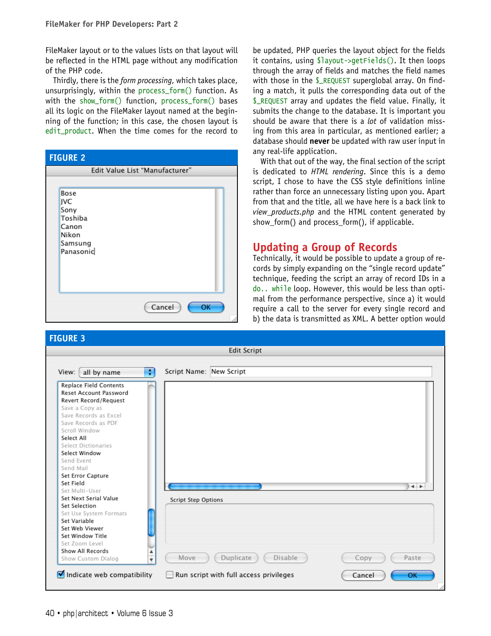FileMaker layout or to the values lists on that layout will be reflected in the HTML page without any modification of the PHP code.

Thirdly, there is the form processing, which takes place, unsurprisingly, within the process\_form() function. As with the show\_form() function, process\_form() bases all its logic on the FileMaker layout named at the beginning of the function; in this case, the chosen layout is edit\_product. When the time comes for the record to

| <b>FIGURE 2</b>                                                          |              |  |
|--------------------------------------------------------------------------|--------------|--|
| Edit Value List "Manufacturer"                                           |              |  |
| Bose<br>JVC<br>Sony<br>Toshiba<br>Canon<br>Nikon<br>Samsung<br>Panasonic |              |  |
|                                                                          | Cancel<br>OK |  |

be updated, PHP queries the layout object for the fields it contains, using \$layout->getFields(). It then loops through the array of fields and matches the field names with those in the \$\_REQUEST superglobal array. On finding a match, it pulls the corresponding data out of the \$\_REQUEST array and updates the field value. Finally, it submits the change to the database. It is important you should be aware that there is a *lot* of validation missing from this area in particular, as mentioned earlier; a database should never be updated with raw user input in any real-life application.

With that out of the way, the final section of the script is dedicated to HTML rendering. Since this is a demo script, I chose to have the CSS style definitions inline rather than force an unnecessary listing upon you. Apart from that and the title, all we have here is a back link to view products.php and the HTML content generated by show form() and process form(), if applicable.

# Updating a Group of Records

Technically, it would be possible to update a group of records by simply expanding on the "single record update" technique, feeding the script an array of record IDs in a do.. while loop. However, this would be less than optimal from the performance perspective, since a) it would require a call to the server for every single record and b) the data is transmitted as XML. A better option would

| <b>FIGURE 3</b>                        |                                        |               |  |
|----------------------------------------|----------------------------------------|---------------|--|
| <b>Edit Script</b>                     |                                        |               |  |
|                                        |                                        |               |  |
| View:<br>all by name                   | ÷<br>Script Name: New Script           |               |  |
| Replace Field Contents                 |                                        |               |  |
| <b>Reset Account Password</b>          |                                        |               |  |
| Revert Record/Request                  |                                        |               |  |
| Save a Copy as                         |                                        |               |  |
| Save Records as Excel                  |                                        |               |  |
| Save Records as PDF                    |                                        |               |  |
| Scroll Window                          |                                        |               |  |
| Select All                             |                                        |               |  |
| Select Dictionaries                    |                                        |               |  |
| Select Window                          |                                        |               |  |
| Send Event                             |                                        |               |  |
| Send Mail                              |                                        |               |  |
| Set Error Capture                      |                                        |               |  |
| Set Field                              |                                        | $+$           |  |
| Set Multi-User                         |                                        |               |  |
| Set Next Serial Value<br>Set Selection | <b>Script Step Options</b>             |               |  |
| Set Use System Formats                 |                                        |               |  |
| Set Variable                           |                                        |               |  |
| Set Web Viewer                         |                                        |               |  |
| Set Window Title                       |                                        |               |  |
| Set Zoom Level                         |                                        |               |  |
| Show All Records                       |                                        |               |  |
| Show Custom Dialog                     | Move<br>Duplicate<br>Disable           | Paste<br>Copy |  |
| Indicate web compatibility             | Run script with full access privileges | Cancel<br>OK  |  |
|                                        |                                        |               |  |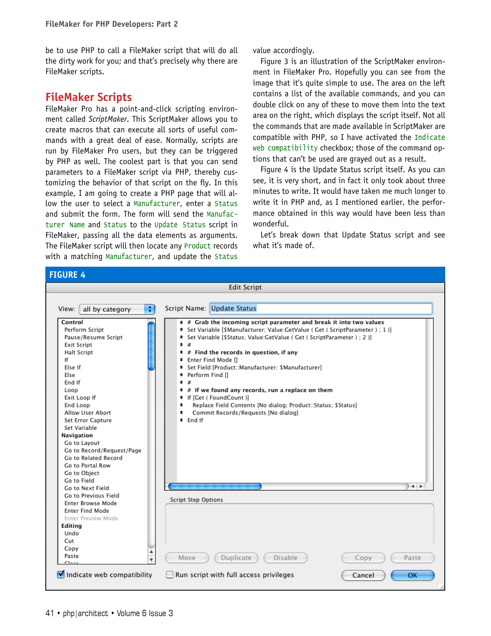be to use PHP to call a FileMaker script that will do all the dirty work for you; and that's precisely why there are FileMaker scripts.

# FileMaker Scripts

FileMaker Pro has a point-and-click scripting environment called ScriptMaker. This ScriptMaker allows you to create macros that can execute all sorts of useful commands with a great deal of ease. Normally, scripts are run by FileMaker Pro users, but they can be triggered by PHP as well. The coolest part is that you can send parameters to a FileMaker script via PHP, thereby customizing the behavior of that script on the fly. In this example, I am going to create a PHP page that will allow the user to select a Manufacturer, enter a Status and submit the form. The form will send the Manufacturer Name and Status to the Update Status script in FileMaker, passing all the data elements as arguments. The FileMaker script will then locate any Product records with a matching Manufacturer, and update the Status

value accordingly.

Figure 3 is an illustration of the ScriptMaker environment in FileMaker Pro. Hopefully you can see from the image that it's quite simple to use. The area on the left contains a list of the available commands, and you can double click on any of these to move them into the text area on the right, which displays the script itself. Not all the commands that are made available in ScriptMaker are compatible with PHP, so I have activated the Indicate web compatibility checkbox; those of the command options that can't be used are grayed out as a result.

Figure 4 is the Update Status script itself. As you can see, it is very short, and in fact it only took about three minutes to write. It would have taken me much longer to write it in PHP and, as I mentioned earlier, the performance obtained in this way would have been less than wonderful.

Let's break down that Update Status script and see what it's made of.

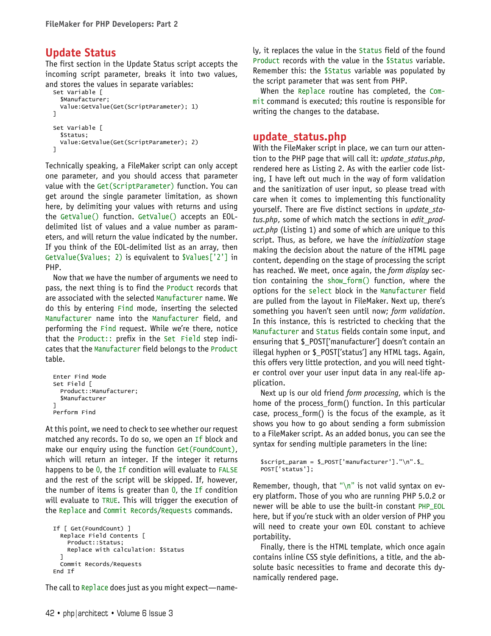# Update Status

The first section in the Update Status script accepts the incoming script parameter, breaks it into two values, and stores the values in separate variables:

```
Set Variable [
   $Manufacturer;
   Value:GetValue(Get(ScriptParameter); 1)
]
Set Variable [
   $Status;
   Value:GetValue(Get(ScriptParameter); 2)
]
```
Technically speaking, a FileMaker script can only accept one parameter, and you should access that parameter value with the Get(ScriptParameter) function. You can get around the single parameter limitation, as shown here, by delimiting your values with returns and using the GetValue() function. GetValue() accepts an EOLdelimited list of values and a value number as parameters, and will return the value indicated by the number. If you think of the EOL-delimited list as an array, then GetValue(\$Values; 2) is equivalent to \$Values['2'] in PHP.

Now that we have the number of arguments we need to pass, the next thing is to find the Product records that are associated with the selected Manufacturer name. We do this by entering Find mode, inserting the selected Manufacturer name into the Manufacturer field, and performing the Find request. While we're there, notice that the Product:: prefix in the Set Field step indicates that the Manufacturer field belongs to the Product table.

```
Enter Find Mode
Set Field [
  Product::Manufacturer;
   $Manufacturer
]
Perform Find
```
At this point, we need to check to see whether our request matched any records. To do so, we open an If block and make our enquiry using the function Get(FoundCount), which will return an integer. If the integer it returns happens to be 0, the If condition will evaluate to FALSE and the rest of the script will be skipped. If, however, the number of items is greater than  $0$ , the If condition will evaluate to TRUE. This will trigger the execution of the Replace and Commit Records/Requests commands.

```
If [ Get(FoundCount) ]
   Replace Field Contents [
     Product::Status;
     Replace with calculation: $Status
 ]
   Commit Records/Requests
End If
```
The call to Replace does just as you might expect—name-

ly, it replaces the value in the Status field of the found Product records with the value in the *SStatus variable*. Remember this: the \$Status variable was populated by the script parameter that was sent from PHP.

When the Replace routine has completed, the Commit command is executed; this routine is responsible for writing the changes to the database.

### update\_status.php

With the FileMaker script in place, we can turn our attention to the PHP page that will call it: update\_status.php, rendered here as Listing 2. As with the earlier code listing, I have left out much in the way of form validation and the sanitization of user input, so please tread with care when it comes to implementing this functionality yourself. There are five distinct sections in update\_status.php, some of which match the sections in edit\_product.php (Listing 1) and some of which are unique to this script. Thus, as before, we have the *initialization* stage making the decision about the nature of the HTML page content, depending on the stage of processing the script has reached. We meet, once again, the form display section containing the show\_form() function, where the options for the select block in the Manufacturer field are pulled from the layout in FileMaker. Next up, there's something you haven't seen until now; form validation. In this instance, this is restricted to checking that the Manufacturer and Status fields contain some input, and ensuring that \$\_POST['manufacturer'] doesn't contain an illegal hyphen or \$\_POST['status'] any HTML tags. Again, this offers very little protection, and you will need tighter control over your user input data in any real-life application.

Next up is our old friend form processing, which is the home of the process\_form() function. In this particular case, process\_form() is the focus of the example, as it shows you how to go about sending a form submission to a FileMaker script. As an added bonus, you can see the syntax for sending multiple parameters in the line:

```
$script_param = $_POST['manufacturer']."\n".$_
POST['status'];
```
Remember, though, that "\n" is not valid syntax on every platform. Those of you who are running PHP 5.0.2 or newer will be able to use the built-in constant PHP\_EOL here, but if you're stuck with an older version of PHP you will need to create your own EOL constant to achieve portability.

Finally, there is the HTML template, which once again contains inline CSS style definitions, a title, and the absolute basic necessities to frame and decorate this dynamically rendered page.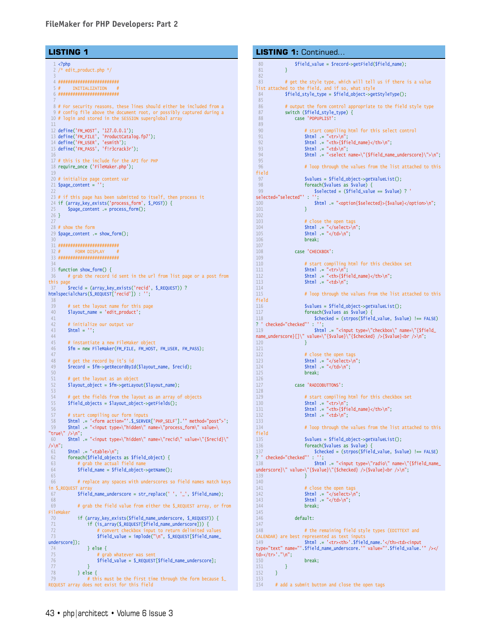#### **LISTING 1**

```
1 <?php
   2 /* edit_product.php */
 3
   4 #########################
  5 # INITIALIZATION
   6 #########################
 7
   8 # For security reasons, these lines should either be included from a
   9 # config file above the document root, or possibly captured during a
 10 # login and stored in the SESSION superglobal array
 11
  12 define('FM_HOST', '127.0.0.1');<br>13 define('FM_FILE', 'ProductCatalog.fp7');<br>14 define('FM_USER', 'esmith');<br>15 define('FM_PASS', 'f!r3crack3r');
 16
 17 # this is the include for the API for PHP
 18 require_once ('FileMaker.php');
 19
  20 # initialize page content var
21 $page_content = '';
 2223 # if this page has been submitted to itself, then process it
 24 if (array_key_exists('process_form', $_POST)) {
 25 $page_content .= process_form();
 26 }
 27
 28 # show the form
 29 $page_content .= show_form();
 30
 31 #########################
  32 # FORM DISPLAY #
33 #########################
 34
 35 function show_form() {
 36 # grab the record id sent in the url from list page or a post from 
this pag
         37 $recid = (array_key_exists('recid', $_REQUEST)) ? 
htmlspecialchars($_REQUEST['recid']) : '';
 38
  39 # set the layout name for this page
40 $layout_name = 'edit_product';
 41<br>4242 # initialize our output var<br>43 $htm1 = '':
         $html = '';
 44
 45 # instantiate a new FileMaker object
         46 $fm = new FileMaker(FM_FILE, FM_HOST, FM_USER, FM_PASS);
 47<br>4848 # get the record by it's id<br>49 $ record = $fm->getRecordByI
         49 $record = $fm->getRecordById($layout_name, $recid);
 50
 51 # get the layout as an object<br>52 $layout object = $fm->aetLayou
         $layout_object = $fm->getLayout($layout_name);
 53
 54 # get the fields from the layout as an array of objects<br>55 Sfield_objects = $layout_object->getFields();
         $field\_objects = $layout\_object - zgetFields();
 56
 57 # start compiling our form inputs<br>58 $html .= '<form action="'.$_SERVE
  58 $html .= '<form action="'.$_SERVER['PHP_SELF'].'" method="post">';
59 $html .= "<input type=\"hidden\" name=\"process_form\" value=\
"true\" /\sqrt{2n};
 60 $html .= "<input type=\"hidden\" name=\"recid\" value=\"{$recid}\" 
/\rangle\langle n";
 61 $html = "stable>\n\n^"; 62 foreach($field\_object62 foreach($field_objects as $field_object) {<br>63 # grab the actual field name
  63 # grab the actual field name
64 $field_name = $field_object->getName();
 65
 66 # replace any spaces with underscores so field names match keys 
in S_REQUEST 67
              67 $field_name_underscore = str_replace(' ', '_', $field_name);
 68
 69 # grab the field value from either the $_REQUEST array, or from 
FileMaker
 70 if (array_key_exists($field_name_underscore, $_REQUEST)) {<br>71 if (is arrav($ REQUEST[$field name underscore])) {
 71 if (is_array($_REQUEST[$field_name_underscore])) {<br>72 # convert checkbox input to return delimited values
  72 # convert checkbox input to return delimited values
 73    Sfield_value = implode("\n", $_REQUEST[$field_name_
underscore]);
 74 } else {<br>75 # ara
 75 # grab whatever was sent<br>76 $field value = $ REQUEST
                   $field_value = $\_REQUEST[$field_name_numbercore];77<br>78
 78 } else {<br>79 # thi
                   # this must be the first time through the form because $
REQUEST array does not exist for this field
```

```
80 $field_value = $record->getField($field_name);
 81 }
 82
 83 # get the style type, which will tell us if there is a value
list attached to the field, and if so, what sty
 84 $field_style_type = $field_object->getStyleType();
 85
 86 # output the form control appropriate to the field style type<br>87 switch ($field_style_type) {
 87 switch ($field_style_type) {<br>88 case 'POPUPLIST':
                 case 'POPUPLIST':
 89
 90 # start compiling html for this select control
91 $html .= "<tr>\n";
 92 $html = "<th>{$field_name}</th>\\n";<br>93 $html = "<td>\\n";93 $html .= "<td>\n";
                       $html .= "<select name=\"{$field_name_underscore}\">\n";
 95
                       # loop through the values from the list attached to this
field
 97 $values = $field_object->getValueList();
98 foreach($values as $value) {
                           $selected = ($field_value == $value) ?'selected="selected"' : '';
100 $html .= "<option{$selected}>{$value}</option>\n";
101 }
102
103 # \text{ close the open tag}<br>104 # \text{thm} = "</ \text{select>}104 \text{html} = \frac{1}{3} \times \text{select} \cdot \text{n};<br>105 \text{html} = \frac{1}{3} \times \text{width} \cdot \text{n};105<br>
106<br>
break;<br>
106<br>
break;
                      break;
\frac{107}{108}case 'CHECKBOX':
109
110 # start compiling html for this checkbox set
111 \int \sinh^{-1} x dx = \int \sinh^{-1} x dx<br>112 \int \sinh^{-1} x dx = \int \sinh^{-1} x dx112 $html .= "<th>{$field_name}</th>\n";<br>
113 $html .= "<td>\n";
                      $html = "<td>\\n";114
115 # loop through the values from the list attached to this
field
116 5values = $field_object->getValueList();<br>117 foreach($values as $value) {
117 foreach($values as $value)<br>118 Schecked = (Strpps($fie)
                           $checked = (strpos($field_value, $value) !== FALSE)
? ' checked="checked"' : '';
119 $html .= "<input type=\"checkbox\" name=\"{$field_
name_underscore}[]\" value=\"{$value}\"{$checked} />{$value}<br />\n";
120 }
121
122 # close the open tags<br>123 $html = "</select>\n
123 $html .= "</select>\n";
124 $html .= "</td>\n";
125 break:
126
127 case 'RADIOBUTTONS':
128<br>129
129 \# start compiling html for this checkbox set<br>130 Shtml = "<tr>\n";
130 $html .= "<tr>\n";
131 $html .= "<th>{$field_name}</th>\n";
132 $html = "std> \n\sqrt{n";}133
134 # loop through the values from the list attached to this
field<br>135
135 $values = $field_object->getValueList();<br>136 foreach($values as $value) {
136 foreach($values as $value) {<br>137 $checked = (strpos($fiel)
                          $checked = (strpos($field_value, $value) !== FALSE)
? ' checked="checked"' : '';
138 $html .= "<input type=\"radio\" name=\"{$field_name_
underscore}\" value=\"{$value}\"{$checked} />{$value}<br />\n";
139 }
140<br>141
141 \# close the open tags<br>142 $html = "</select>n142 $html .= "</select>\n";
143 $html .= "</td>\n";
144 break:
145
146 default:
\frac{147}{148}# the remaining field style types (EDITTEXT and
CALENDAR) are best represented as text inputs
149 $html .= '<tr><th>'.$field_name.'</th><td><input 
type="text" name="'.$field_name_underscore.'" value="'.$field_value.'" /></
td></tr>'."\n";<br>150
                       break:
\begin{array}{ccc} 151 & & & \ & 152 & & \ & & 1 & & \end{array}152 }
153
154 # add a submit button and close the open tags
LISTING 1: Continued...
```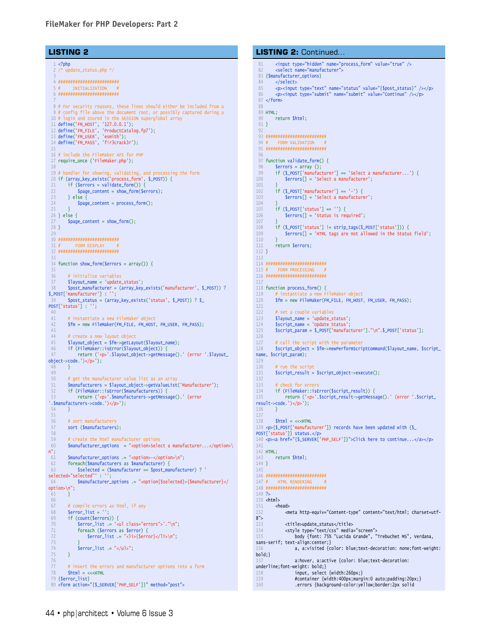#### **LISTING 2**

```
1 <?php
    2 /* update_status.php */
 3
   4 #########################
  5 # INITIALIZATION
   6 #########################
 7
   8 # For security reasons, these lines should either be included from a
  9 # config file above the document root, or possibly captured during a 10 # login and stored in the SESSION superglobal array
                 and stored in the SESSION superglobal array
  11 define('FM_HOST', '127.0.0.1');<br>12 define('FM_FILE', 'ProductCatalog.fp7');<br>13 define('FM_USER', 'esmith');<br>14 define('FM_PASS', 'f!r3crack3r');
  15
16 # include the FileMaker API for PHP
 17 require_once ('FileMaker.php');
 18
 19 # handler for showing, validating, and processing the form
  20 if (array_key_exists('process_form', $_POST)) {
21 if ($errors = validate_form()) {
 22 $page_content = show_form($errors);<br>23 } else {
 23 } else {<br>24 $page
          $page_content = process_form();
 25 }
 26 } else {
 27 $page_content = show_form();
 \frac{28}{28} }
 29
 30 #########################
              FORM DISPLAY
 32 #########################
 33
 34 function show_form($errors = array()) {
 35
 36 # initialize variables<br>37 $lavout name = 'update
 37 $layout_name = 'update_status';<br>32 $post_manufacturer = (array key
          38 $post_manufacturer = (array_key_exists('manufacturer', $_POST)) ? 
$_POST['manufacturer'] : '';
 39 $post_status = (array_key_exists('status', $_POST)) ? $_
POST['status'] : '';
 \frac{40}{41}41 # instantiate a new FileMaker object<br>42 $fm = new FileMaker(FM FILE. FM HOST
          42 $fm = new FileMaker(FM_FILE, FM_HOST, FM_USER, FM_PASS);
 43
 44 # create a new layout object
  45 $layout_object = $fm->getLayout($layout_name);
46 if (FileMaker::isError($layout_object)) {
 47 return ('<p>'.$layout_object->getMessage().' (error '.$layout_
object->code.')</p>');
          \rightarrow49
          # get the manufacturer value list as an array
 51 $manufacturers = $layout_object->getValueList('Manufacturer');
  52 if (FileMaker::isError($manufacturers)) {
53 return ('<p>'.$manufacturers->getMessage().' (error 
 '.$manufacturers->code.')</p>');
         \overline{4}55
 56 # sort manufacturers<br>57 sort ($manufacturers
          sort ($manufacturers);
 58
 59 # create the html manufacturer options<br>60 \frac{2}{3} \frac{2}{3} \frac{2}{3} \frac{2}{3} \frac{2}{3} \frac{2}{3} \frac{2}{3} \frac{2}{3} \frac{2}{3} \frac{2}{3} \frac{2}{3} \frac{2}{3} \frac{2}{3} \frac{2}{3} \frac{2}{3} \frac{2}{3} \frac{2}{3} \frac{2}{$manufacturer_options = "<option>Select a manufacturer...</option>\
n'';<br>61
 61 $manufacturer_options .= "<option>-</option>\n";<br>62 foreach($manufacturers as $manufacturer) {
 62 foreach($manufacturers as $manufacturer) {<br>63 $selected = ($manufacturer == $post ma
                63 $selected = ($manufacturer == $post_manufacturer) ? ' 
selected="selected"' : '';
 64 $manufacturer_options .= "<option{$selected}>{$manufacturer}</
option>\n";
 65 }
 66
  67 # compile errors as html, if any
68 $error_list = '';
 69 if (count($errors)) {<br>70 Serror list .= '<
 70 Serror_list .= '<ul class="errors">'."\n";<br>71 foreach (Serrors as Serror) {
 71 foreach ($errors as $error) {<br>72 $error_list = "<li>{$erro
                    $error_list = "cli > {Server} </l i > n";
 73 }
                \text{Server\_list} := "\langle \text{rule}":75 }
76
 77 # insert the errors and manufacturer options into a form
 78 $html = <<<HTML
 79 {$error_list}
 80 <form action="{$_SERVER['PHP_SELF']}" method="post">
```

```
81 <input type="hidden" name="process_form" value="true" />
         <select name="manufacturer">
 83 {$manufacturer_options}
 84 </select>
 85 <p><input type="text" name="status" value="{$post_status}" /></p>
86 <p><input type="submit" name="submit" value="Continue" /></p>
 87 </form>
 88
 89 HTML;<br>90 r
        return $html;
 91 }
 92
 93 #########################
        FORM VALIDATION
 95 #########################
 96
 97 function validate_form() {
         serrors = array ();
 99 if ($_POST['manufacturer'] == 'Select a manufacturer...') {
100 Serrors[] = 'Select a manufacturer';
101 }
102 if ($_POST['manufacturer'] == '-') {
103 $errors[] = 'Select a manufacturer';
104 }
105 if ($_POST['status'] == '') {
106 $errors[] = 'Status is required';
\frac{107}{108}108 if ($_POST['status'] != strip_tags($_POST['status'])) {<br>109    Serrors[] = 'HTML tags are not allowed in the Status
             Serrors[] = 'HTML tags are not allowed in the Status field';
\frac{110}{111}return $errors;
112 }
113
114 #########################
115 # FORM PROCESSIN
116 #########################
117
118 function process_form() {
119 # instantiate a new FileMaker object
120 $fm = new FileMaker(FM_FILE, FM_HOST, FM_USER, FM_PASS);
121
122 # set a couple variables<br>123 $lavout name = 'undate s'
123 $layout_name = 'update_status';
124 $script_name = 'Update Status';
125 $script_param = $_POST['manufacturer']."\n".$_POST['status'];
126
127 # call the script with the parameter
128 $script_object = $fm->newPerformScriptCommand($layout_name, $script_
name, $script_param);
129<br>130
         # run the script
131 $script_result = $script_object->execute();
132
133 # check for errors
134 if (FileMaker::isError($script_result)) {
135 return ('<p>'.$script_result->getMessage().' (error '.$script_
result->code.')</p>');
136 }
137
138 $html = <<HTML139 <p>{$_POST['manufacturer']} records have been updated with {$_
POST['status']} status.</p>
140 <p><a href="{$_SERVER['PHP_SELF']}">Click here to continue...</a></p>
141
142 HTML;<br>143 r
         return $html;
144 }
145
146 #########################
147 # HTML RENDERING
148 #########################
149 ?>
150 <html>
151 <head>
152 <meta http-equiv="Content-type" content="text/html; charset=utf-
8">
153 <title>update_status</title><br>154 <style type="text/css" media
154 << tyle type="text/css" media="screen"><br>155 body ffont: 75% "Lucida Grande".
                  body {font: 75% "Lucida Grande", "Trebuchet MS", Verdana,
sans-serif; text-align:center;}
                  a, a:visited {color: blue;text-decoration: none;font-weight:
bold;}
157 a:hover, a:active {color: blue;text-decoration: 
underline;font-weight: bold;}
158 input, select {width:260px;}
159 #container {width:400px;margin:0 auto;padding:20px;}
160 .errors {background-color:yellow;border:2px solid 
LISTING 2: Continued...
```